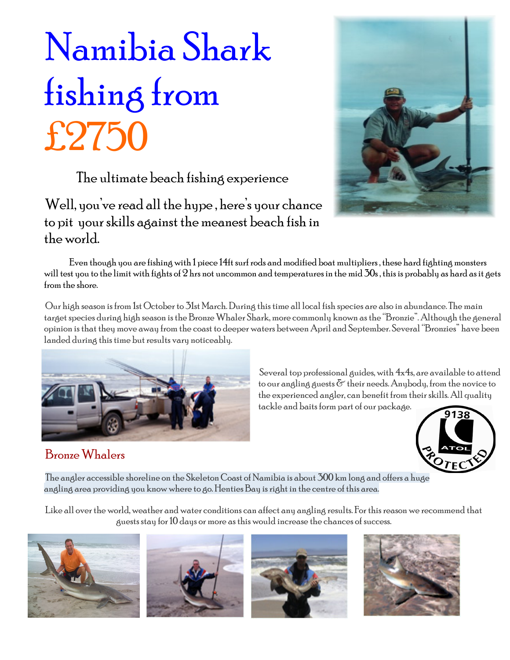# Namibia Shark fishing from  $£2750$ <br>The ultimate beach fishing experience

Well, you've read all the hype , here's your chance to pit your skills against the meanest beach fish in the world.

 Even though you are fishing with 1 piece 14ft surf rods and modified boat multipliers , these hard fighting monsters will test you to the limit with fights of  $2$  hrs not uncommon and temperatures in the mid  $\rm 30$ s , this is probably as hard as it gets from the shore.

Our high season is from 1st October to 31st March. During this time all local fish species are also in abundance. The main target species during high season is the Bronze Whaler Shark, more commonly known as the "Bronzie". Although the general opinion is that they move away from the coast to deeper waters between April and September. Several "Bronzies" have been landed during this time but results vary noticeably.



### Bronze Whalers





The angler accessible shoreline on the Skeleton Coast of Namibia is about 300 km long and offers a huge angling area providing you know where to go. Henties Bay is right in the centre of this area.

Like all over the world, weather and water conditions can affect any angling results. For this reason we recommend that guests stay for 10 days or more as this would increase the chances of success.









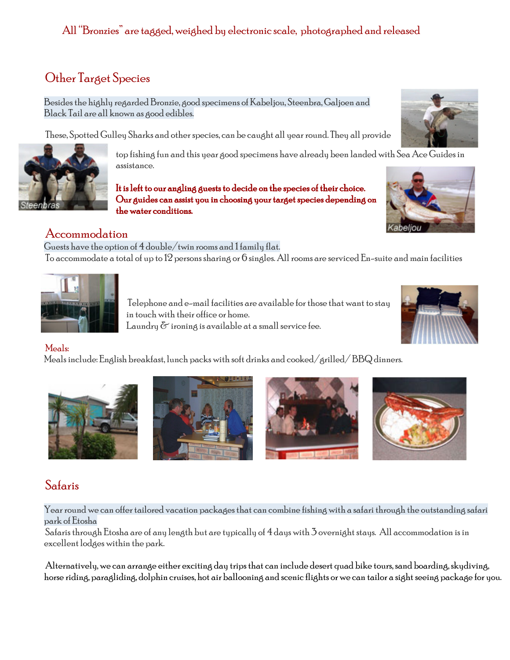#### All "Bronzies" are tagged, weighed by electronic scale, photographed and released

#### Other Target Species

Besides the highly regarded Bronzie, good specimens of Kabeljou, Steenbra, Galjoen and Black Tail are all known as good edibles.

These, Spotted Gulley Sharks and other species, can be caught all year round. They all provide

top fishing fun and this year good specimens have already been landed with Sea Ace Guides in assistance.

It is left to our angling guests to decide on the species of their choice. Our guides can assist you in choosing your target species depending on the water conditions.

#### Accommodation

Guests have the option of  $4$  double/twin rooms and  $1$  family flat. To accommodate a total of up to 12 persons sharing or 6 singles. All rooms are serviced En-suite and main facilities

> Telephone and e-mail facilities are available for those that want to stay in touch with their office or home. Laundry  $\delta$  ironing is available at a small service fee.

#### Meals:

Meals include: English breakfast, lunch packs with soft drinks and cooked/grilled/ BBQ dinners.

Safaris

Year round we can offer tailored vacation packages that can combine fishing with a safari through the outstanding safari park of Etosha

Safaris through Etosha are of any length but are typically of 4 days with 3 overnight stays. All accommodation is in excellent lodges within the park.

Alternatively, we can arrange either exciting day trips that can include desert quad bike tours, sand boarding, skydiving, horse riding, paragliding, dolphin cruises, hot air ballooning and scenic flights or we can tailor a sight seeing package for you.